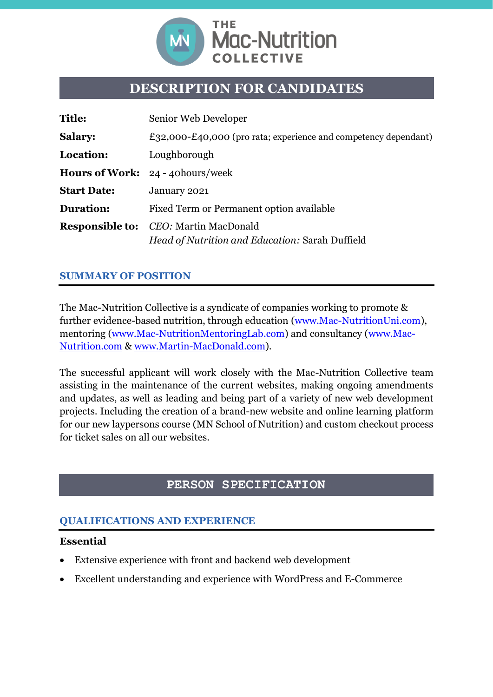

# **DESCRIPTION FOR CANDIDATES**

| <b>Title:</b>      | Senior Web Developer                                                                            |
|--------------------|-------------------------------------------------------------------------------------------------|
| <b>Salary:</b>     | £32,000-£40,000 (pro rata; experience and competency dependant)                                 |
| Location:          | Loughborough                                                                                    |
|                    | <b>Hours of Work: 24 - 40 hours/week</b>                                                        |
| <b>Start Date:</b> | January 2021                                                                                    |
| <b>Duration:</b>   | Fixed Term or Permanent option available                                                        |
|                    | <b>Responsible to:</b> CEO: Martin MacDonald<br>Head of Nutrition and Education: Sarah Duffield |

#### **SUMMARY OF POSITION**

The Mac-Nutrition Collective is a syndicate of companies working to promote & further evidence-based nutrition, through education [\(www.Mac-NutritionUni.com\)](http://www.mac-nutritionuni.com/), mentoring [\(www.Mac-NutritionMentoringLab.com\)](http://www.mac-nutritionmentoringlab.com/) and consultancy [\(www.Mac-](http://www.mac-nutrition.com/)[Nutrition.com](http://www.mac-nutrition.com/) & [www.Martin-MacDonald.com\)](http://www.martin-macdonald.com/).

The successful applicant will work closely with the Mac-Nutrition Collective team assisting in the maintenance of the current websites, making ongoing amendments and updates, as well as leading and being part of a variety of new web development projects. Including the creation of a brand-new website and online learning platform for our new laypersons course (MN School of Nutrition) and custom checkout process for ticket sales on all our websites.

# **PERSON SPECIFICATION**

# **QUALIFICATIONS AND EXPERIENCE**

#### **Essential**

- Extensive experience with front and backend web development
- Excellent understanding and experience with WordPress and E-Commerce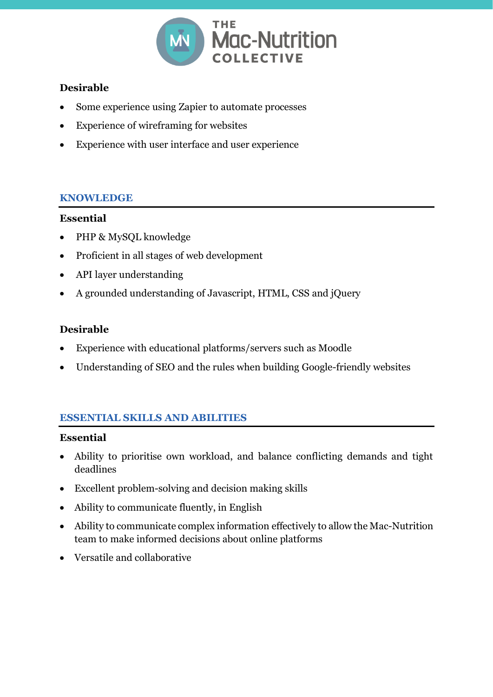

# **Desirable**

- Some experience using Zapier to automate processes
- Experience of wireframing for websites
- Experience with user interface and user experience

# **KNOWLEDGE**

#### **Essential**

- PHP & MySQL knowledge
- Proficient in all stages of web development
- API layer understanding
- A grounded understanding of Javascript, HTML, CSS and jQuery

# **Desirable**

- Experience with educational platforms/servers such as Moodle
- Understanding of SEO and the rules when building Google-friendly websites

# **ESSENTIAL SKILLS AND ABILITIES**

#### **Essential**

- Ability to prioritise own workload, and balance conflicting demands and tight deadlines
- Excellent problem-solving and decision making skills
- Ability to communicate fluently, in English
- Ability to communicate complex information effectively to allow the Mac-Nutrition team to make informed decisions about online platforms
- Versatile and collaborative